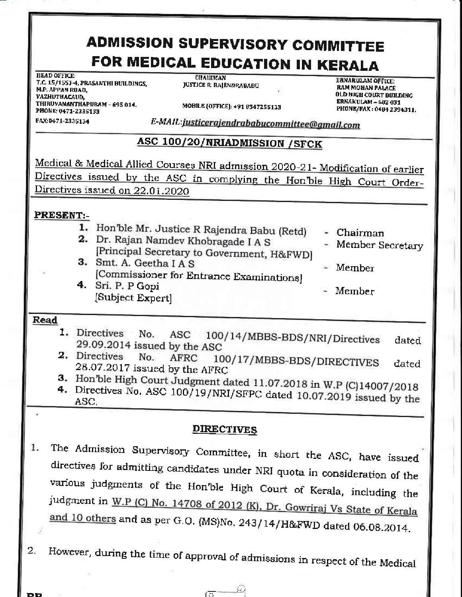# **ADMISSION SUPERVISORY COMMITTEE** FOR MEDICAL EDUCATION IN KERALA

HEAD OFFICE: T.C. 15/1553-4, PRASANTHI BUILDINGS. M.P. APPAN ROAD. VAZHUTHACAUD, THIRUVANANTHAPURAM - 695 014. PHONE: 0471-2335133

**CHAIRMAN JUSTICE R. RAJENDRABABU** 

**ERNAKULAM OFFICE: RAM MOHAN PALACE** OLD HIGH COURT BUILDING **ERNAKULAM - 682 031** PHONE/FAX: 0484 2394311.

MOBILE (OFFICE): +91 6547255133

FAX:0471-2335134

E-MAIL: justicerajendrababucommittee@gmail.com

## ASC 100/20/NRIADMISSION / SFCK

Medical & Medical Allied Courses NRI admission 2020-21- Modification of earlier Directives issued by the ASC in complying the Hon'ble High Court Order-Directives issued on 22.01.2020

### **PRESENT:-**

- 1. Hon'ble Mr. Justice R Rajendra Babu (Retd) 2. Dr. Rajan Namdev Khobragade I A S
- [Principal Secretary to Government, H&FWD] 3. Smt. A. Geetha I A S
- [Commissioner for Entrance Examinations] 4. Sri. P. P Gopi

[Subject Expert]

- Chairman
- Member Secretary
- Member
- Member

#### Read

- 1. Directives 100/14/MBBS-BDS/NRI/Directives No. ASC dated 29.09.2014 issued by the ASC
- 2. Directives No. **AFRC** 100/17/MBBS-BDS/DIRECTIVES dated 28.07.2017 issued by the AFRC

3. Hon'ble High Court Judgment dated 11.07.2018 in W.P (C)14007/2018

4. Directives No. ASC 100/19/NRI/SFPC dated 10.07.2019 issued by the ASC.

### **DIRECTIVES**

- The Admission Supervisory Committee, in short the ASC, have issued 1. directives for admitting candidates under NRI quota in consideration of the various judgments of the Hon'ble High Court of Kerala, including the judgment in W.P (C) No. 14708 of 2012 (K), Dr. Gowriraj Vs State of Kerala and 10 others and as per G.O. (MS)No. 243/14/H&FWD dated 06.08.2014.
- However, during the time of approval of admissions in respect of the Medical 2.

区

£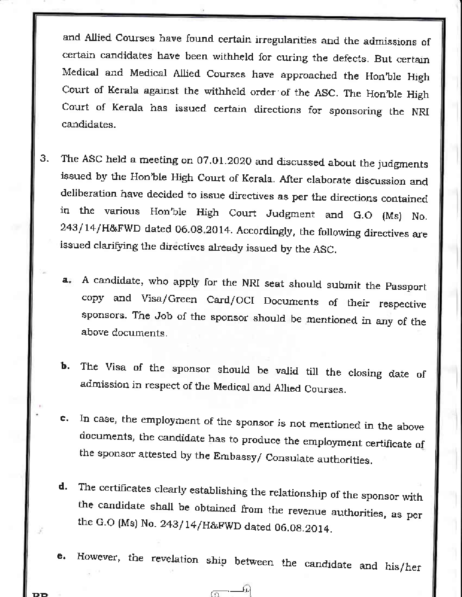and Allied Courses have found certain irregularities and the admissions of certain candidates have been withheld for curing the defects. But certain Medical and Medical Allied Courses have approached the Hon'ble High Court of Kerala against the withheld order of the ASC. The Hon'ble High Court of Kerala has issued certain directions for sponsoring the NRI candidates.

- The ASC held a meeting on 07.01.2020 and discussed about the judgments 3. issued by the Hon'ble High Court of Kerala. After elaborate discussion and deliberation have decided to issue directives as per the directions contained in the various Hon'ble High Court Judgment and G.O (Ms) No. 243/14/H&FWD dated 06.08.2014. Accordingly, the following directives are issued clarifying the directives already issued by the ASC.
	- A candidate, who apply for the NRI seat should submit the Passport а. copy and Visa/Green Card/OCI Documents of their respective sponsors. The Job of the sponsor should be mentioned in any of the above documents.
	- The Visa of the sponsor should be valid till the closing date of Ъ. admission in respect of the Medical and Allied Courses.
	- In case, the employment of the sponsor is not mentioned in the above ¢. documents, the candidate has to produce the employment certificate of the sponsor attested by the Embassy/ Consulate authorities.
	- The certificates clearly establishing the relationship of the sponsor with d. the candidate shall be obtained from the revenue authorities, as per the G.O (Ms) No. 243/14/H&FWD dated 06.08.2014.
	- However, the revelation ship between the candidate and his/her e.